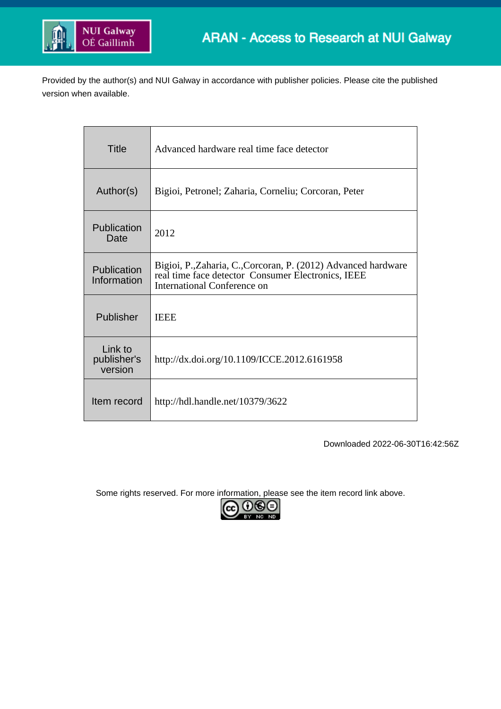

Provided by the author(s) and NUI Galway in accordance with publisher policies. Please cite the published version when available.

| <b>Title</b>                      | Advanced hardware real time face detector                                                                                                           |
|-----------------------------------|-----------------------------------------------------------------------------------------------------------------------------------------------------|
| Author(s)                         | Bigioi, Petronel; Zaharia, Corneliu; Corcoran, Peter                                                                                                |
| Publication<br>Date               | 2012                                                                                                                                                |
| Publication<br>Information        | Bigioi, P., Zaharia, C., Corcoran, P. (2012) Advanced hardware<br>real time face detector Consumer Electronics, IEEE<br>International Conference on |
| Publisher                         | <b>IEEE</b>                                                                                                                                         |
| Link to<br>publisher's<br>version | http://dx.doi.org/10.1109/ICCE.2012.6161958                                                                                                         |
| Item record                       | http://hdl.handle.net/10379/3622                                                                                                                    |

Downloaded 2022-06-30T16:42:56Z

Some rights reserved. For more information, please see the item record link above.

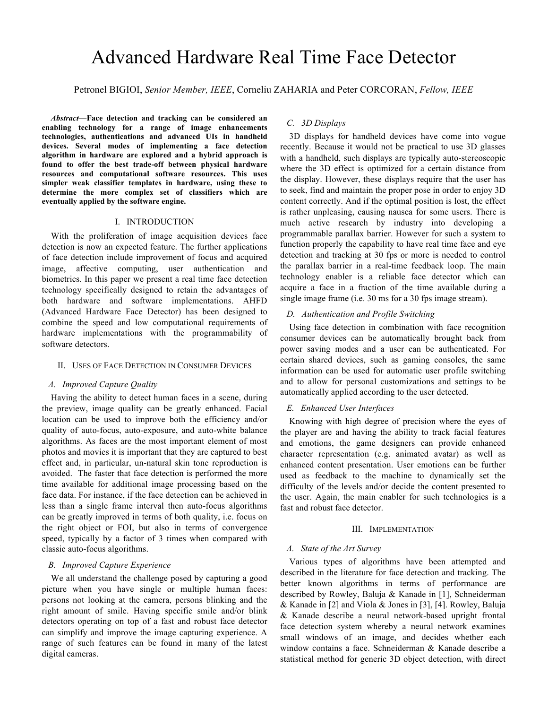# Advanced Hardware Real Time Face Detector

Petronel BIGIOI, *Senior Member, IEEE*, Corneliu ZAHARIA and Peter CORCORAN, *Fellow, IEEE*

*Abstract***—Face detection and tracking can be considered an enabling technology for a range of image enhancements technologies, authentications and advanced UIs in handheld devices. Several modes of implementing a face detection algorithm in hardware are explored and a hybrid approach is found to offer the best trade-off between physical hardware resources and computational software resources. This uses simpler weak classifier templates in hardware, using these to determine the more complex set of classifiers which are eventually applied by the software engine.**

#### I. INTRODUCTION

With the proliferation of image acquisition devices face detection is now an expected feature. The further applications of face detection include improvement of focus and acquired image, affective computing, user authentication and biometrics. In this paper we present a real time face detection technology specifically designed to retain the advantages of both hardware and software implementations. AHFD (Advanced Hardware Face Detector) has been designed to combine the speed and low computational requirements of hardware implementations with the programmability of software detectors.

## II. USES OF FACE DETECTION IN CONSUMER DEVICES

## *A. Improved Capture Quality*

Having the ability to detect human faces in a scene, during the preview, image quality can be greatly enhanced. Facial location can be used to improve both the efficiency and/or quality of auto-focus, auto-exposure, and auto-white balance algorithms. As faces are the most important element of most photos and movies it is important that they are captured to best effect and, in particular, un-natural skin tone reproduction is avoided. The faster that face detection is performed the more time available for additional image processing based on the face data. For instance, if the face detection can be achieved in less than a single frame interval then auto-focus algorithms can be greatly improved in terms of both quality, i.e. focus on the right object or FOI, but also in terms of convergence speed, typically by a factor of 3 times when compared with classic auto-focus algorithms.

### *B. Improved Capture Experience*

We all understand the challenge posed by capturing a good picture when you have single or multiple human faces: persons not looking at the camera, persons blinking and the right amount of smile. Having specific smile and/or blink detectors operating on top of a fast and robust face detector can simplify and improve the image capturing experience. A range of such features can be found in many of the latest digital cameras.

## *C. 3D Displays*

3D displays for handheld devices have come into vogue recently. Because it would not be practical to use 3D glasses with a handheld, such displays are typically auto-stereoscopic where the 3D effect is optimized for a certain distance from the display. However, these displays require that the user has to seek, find and maintain the proper pose in order to enjoy 3D content correctly. And if the optimal position is lost, the effect is rather unpleasing, causing nausea for some users. There is much active research by industry into developing a programmable parallax barrier. However for such a system to function properly the capability to have real time face and eye detection and tracking at 30 fps or more is needed to control the parallax barrier in a real-time feedback loop. The main technology enabler is a reliable face detector which can acquire a face in a fraction of the time available during a single image frame (i.e. 30 ms for a 30 fps image stream).

### *D. Authentication and Profile Switching*

Using face detection in combination with face recognition consumer devices can be automatically brought back from power saving modes and a user can be authenticated. For certain shared devices, such as gaming consoles, the same information can be used for automatic user profile switching and to allow for personal customizations and settings to be automatically applied according to the user detected.

#### *E. Enhanced User Interfaces*

Knowing with high degree of precision where the eyes of the player are and having the ability to track facial features and emotions, the game designers can provide enhanced character representation (e.g. animated avatar) as well as enhanced content presentation. User emotions can be further used as feedback to the machine to dynamically set the difficulty of the levels and/or decide the content presented to the user. Again, the main enabler for such technologies is a fast and robust face detector.

#### III. IMPLEMENTATION

#### *A. State of the Art Survey*

Various types of algorithms have been attempted and described in the literature for face detection and tracking. The better known algorithms in terms of performance are described by Rowley, Baluja & Kanade in [1], Schneiderman & Kanade in [2] and Viola & Jones in [3], [4]. Rowley, Baluja & Kanade describe a neural network-based upright frontal face detection system whereby a neural network examines small windows of an image, and decides whether each window contains a face. Schneiderman & Kanade describe a statistical method for generic 3D object detection, with direct